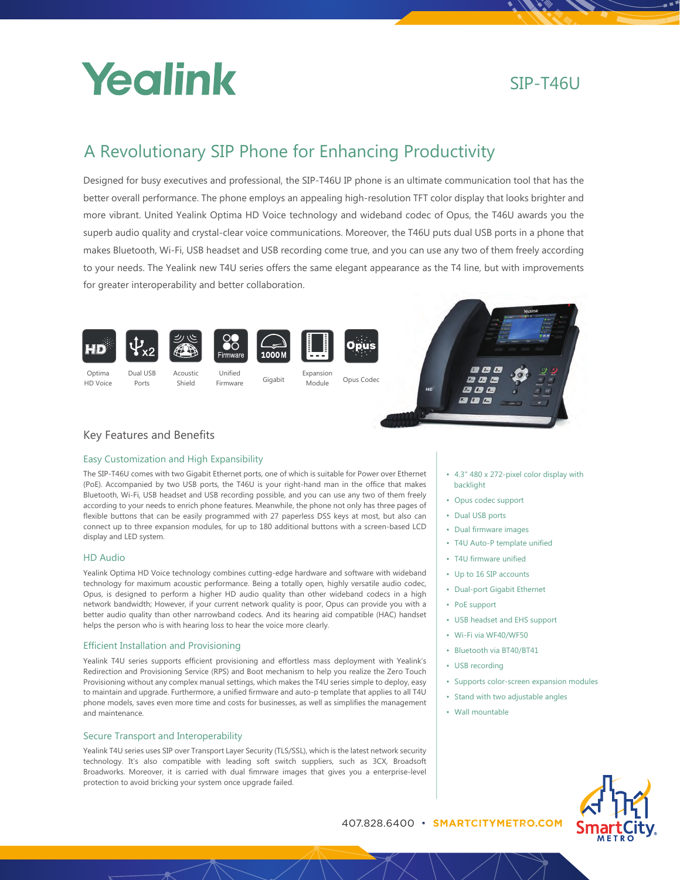

# SIP-T46U

# A Revolutionary SIP Phone for Enhancing Productivity

Designed for busy executives and professional, the SIP-T46U IP phone is an ultimate communication tool that has the better overall performance. The phone employs an appealing high-resolution TFT color display that looks brighter and more vibrant. United Yealink Optima HD Voice technology and wideband codec of Opus, the T46U awards you the superb audio quality and crystal-clear voice communications. Moreover, the T46U puts dual USB ports in a phone that makes Bluetooth, Wi-Fi, USB headset and USB recording come true, and you can use any two of them freely according to your needs. The Yealink new T4U series offers the same elegant appearance as the T4 line, but with improvements for greater interoperability and better collaboration.



# Key Features and Benefits

# Easy Customization and High Expansibility

The SIP-T46U comes with two Gigabit Ethernet ports, one of which is suitable for Power over Ethernet (PoE). Accompanied by two USB ports, the T46U is your right-hand man in the office that makes Bluetooth, Wi-Fi, USB headset and USB recording possible, and you can use any two of them freely according to your needs to enrich phone features. Meanwhile, the phone not only has three pages of flexible buttons that can be easily programmed with 27 paperless DSS keys at most, but also can connect up to three expansion modules, for up to 180 additional buttons with a screen-based LCD display and LED system.

# HD Audio

Yealink Optima HD Voice technology combines cutting-edge hardware and software with wideband technology for maximum acoustic performance. Being a totally open, highly versatile audio codec, Opus, is designed to perform a higher HD audio quality than other wideband codecs in a high network bandwidth; However, if your current network quality is poor, Opus can provide you with a better audio quality than other narrowband codecs. And its hearing aid compatible (HAC) handset helps the person who is with hearing loss to hear the voice more clearly.

## Efficient Installation and Provisioning

Yealink T4U series supports efficient provisioning and effortless mass deployment with Yealink's Redirection and Provisioning Service (RPS) and Boot mechanism to help you realize the Zero Touch Provisioning without any complex manual settings, which makes the T4U series simple to deploy, easy to maintain and upgrade. Furthermore, a unified firmware and auto-p template that applies to all T4U phone models, saves even more time and costs for businesses, as well as simplifies the management and maintenance.

## Secure Transport and Interoperability

Yealink T4U series uses SIP over Transport Layer Security (TLS/SSL), which is the latest network security technology. It's also compatible with leading soft switch suppliers, such as 3CX, Broadsoft Broadworks. Moreover, it is carried with dual fimrware images that gives you a enterprise-level protection to avoid bricking your system once upgrade failed.

- 4.3" 480 x 272-pixel color display with backlight
- Opus codec support
- Dual USB ports
- Dual firmware images
- T4U Auto-P template unified
- T4U firmware unified
- Up to 16 SIP accounts
- Dual-port Gigabit Ethernet
- PoE support
- USB headset and EHS support
- Wi-Fi via WF40/WF50
- Bluetooth via BT40/BT41
- USB recording
- Supports color-screen expansion modules
- Stand with two adjustable angles
- Wall mountable



407.828.6400 • **SMARTCITYMETRO.COM** C